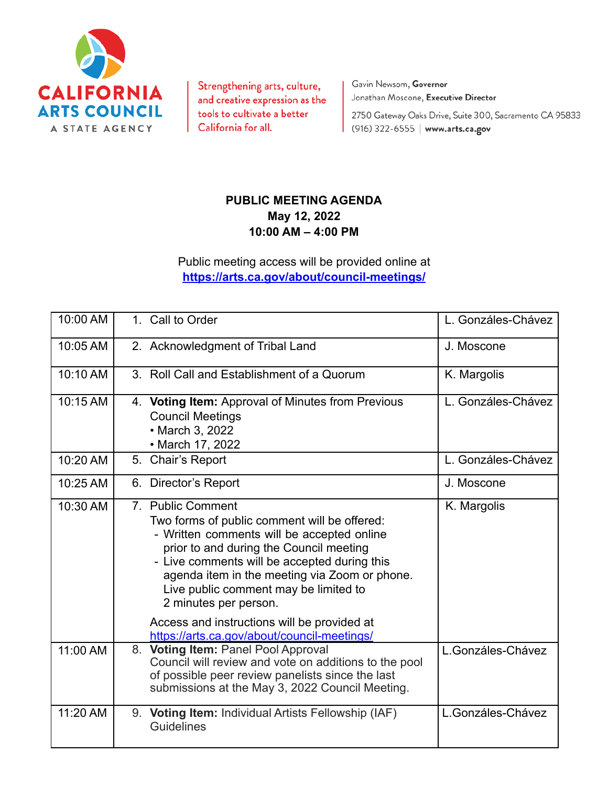

Strengthening arts, culture, and creative expression as the tools to cultivate a better California for all.

Gavin Newsom, Governor Jonathan Moscone, Executive Director

2750 Gateway Oaks Drive, Suite 300, Sacramento CA 95833 (916) 322-6555 | www.arts.ca.gov

## **PUBLIC MEETING AGENDA May 12, 2022 10:00 AM – 4:00 PM**

Public meeting access will be provided online at **<https://arts.ca.gov/about/council-meetings/>**

| 10:00 AM | 1. Call to Order                                                                                                                                                                                                                                                                                                              | L. Gonzáles-Chávez |
|----------|-------------------------------------------------------------------------------------------------------------------------------------------------------------------------------------------------------------------------------------------------------------------------------------------------------------------------------|--------------------|
| 10:05 AM | 2. Acknowledgment of Tribal Land                                                                                                                                                                                                                                                                                              | J. Moscone         |
| 10:10 AM | 3. Roll Call and Establishment of a Quorum                                                                                                                                                                                                                                                                                    | K. Margolis        |
| 10:15 AM | 4. Voting Item: Approval of Minutes from Previous<br><b>Council Meetings</b><br>• March 3, 2022<br>• March 17, 2022                                                                                                                                                                                                           | L. Gonzáles-Chávez |
| 10:20 AM | 5.<br>Chair's Report                                                                                                                                                                                                                                                                                                          | L. Gonzáles-Chávez |
| 10:25 AM | 6. Director's Report                                                                                                                                                                                                                                                                                                          | J. Moscone         |
| 10:30 AM | 7. Public Comment<br>Two forms of public comment will be offered:<br>- Written comments will be accepted online<br>prior to and during the Council meeting<br>- Live comments will be accepted during this<br>agenda item in the meeting via Zoom or phone.<br>Live public comment may be limited to<br>2 minutes per person. | K. Margolis        |
|          | Access and instructions will be provided at<br>https://arts.ca.gov/about/council-meetings/                                                                                                                                                                                                                                    |                    |
| 11:00 AM | 8. Voting Item: Panel Pool Approval<br>Council will review and vote on additions to the pool<br>of possible peer review panelists since the last<br>submissions at the May 3, 2022 Council Meeting.                                                                                                                           | L.Gonzáles-Chávez  |
| 11:20 AM | 9. Voting Item: Individual Artists Fellowship (IAF)<br><b>Guidelines</b>                                                                                                                                                                                                                                                      | L.Gonzáles-Chávez  |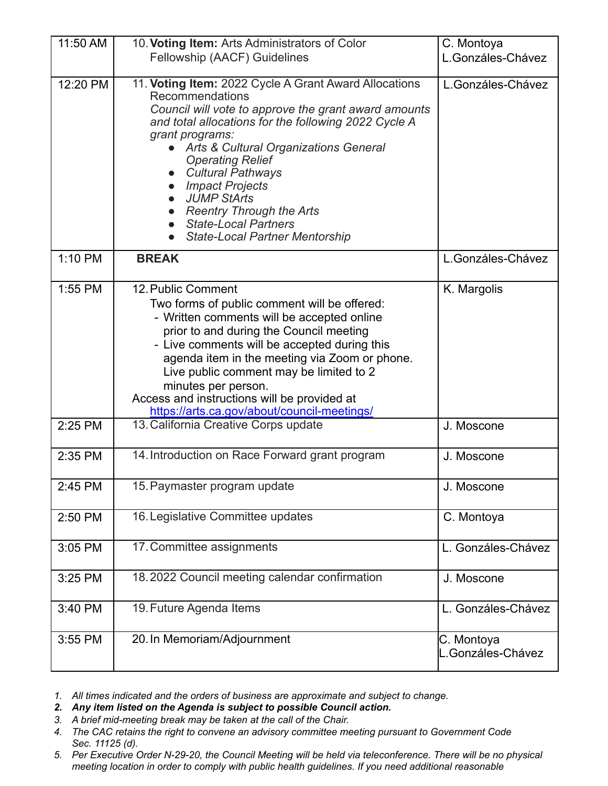| 11:50 AM | 10. Voting Item: Arts Administrators of Color<br>Fellowship (AACF) Guidelines                                                                                                                                                                                                                                                                                                                                                                                                         | C. Montoya<br>L.Gonzáles-Chávez |
|----------|---------------------------------------------------------------------------------------------------------------------------------------------------------------------------------------------------------------------------------------------------------------------------------------------------------------------------------------------------------------------------------------------------------------------------------------------------------------------------------------|---------------------------------|
|          |                                                                                                                                                                                                                                                                                                                                                                                                                                                                                       |                                 |
| 12:20 PM | 11. Voting Item: 2022 Cycle A Grant Award Allocations<br>Recommendations<br>Council will vote to approve the grant award amounts<br>and total allocations for the following 2022 Cycle A<br>grant programs:<br>• Arts & Cultural Organizations General<br><b>Operating Relief</b><br><b>Cultural Pathways</b><br><b>Impact Projects</b><br>$\bullet$<br><b>JUMP StArts</b><br><b>Reentry Through the Arts</b><br><b>State-Local Partners</b><br><b>State-Local Partner Mentorship</b> | L.Gonzáles-Chávez               |
| 1:10 PM  | <b>BREAK</b>                                                                                                                                                                                                                                                                                                                                                                                                                                                                          | L.Gonzáles-Chávez               |
| 1:55 PM  | 12. Public Comment<br>Two forms of public comment will be offered:<br>- Written comments will be accepted online<br>prior to and during the Council meeting<br>- Live comments will be accepted during this<br>agenda item in the meeting via Zoom or phone.<br>Live public comment may be limited to 2<br>minutes per person.<br>Access and instructions will be provided at<br>https://arts.ca.gov/about/council-meetings/                                                          | K. Margolis                     |
| 2:25 PM  | 13. California Creative Corps update                                                                                                                                                                                                                                                                                                                                                                                                                                                  | J. Moscone                      |
| 2:35 PM  | 14. Introduction on Race Forward grant program                                                                                                                                                                                                                                                                                                                                                                                                                                        | J. Moscone                      |
| 2:45 PM  | 15. Paymaster program update                                                                                                                                                                                                                                                                                                                                                                                                                                                          | J. Moscone                      |
| 2:50 PM  | 16. Legislative Committee updates                                                                                                                                                                                                                                                                                                                                                                                                                                                     | C. Montoya                      |
| 3:05 PM  | 17. Committee assignments                                                                                                                                                                                                                                                                                                                                                                                                                                                             | L. Gonzáles-Chávez              |
| 3:25 PM  | 18.2022 Council meeting calendar confirmation                                                                                                                                                                                                                                                                                                                                                                                                                                         | J. Moscone                      |
| 3:40 PM  | 19. Future Agenda Items                                                                                                                                                                                                                                                                                                                                                                                                                                                               | L. Gonzáles-Chávez              |
| 3:55 PM  | 20. In Memoriam/Adjournment                                                                                                                                                                                                                                                                                                                                                                                                                                                           | C. Montoya<br>L.Gonzáles-Chávez |

*1. All times indicated and the orders of business are approximate and subject to change.*

*2. Any item listed on the Agenda is subject to possible Council action.*

- *3. A brief mid-meeting break may be taken at the call of the Chair.*
- *4. The CAC retains the right to convene an advisory committee meeting pursuant to Government Code Sec. 11125 (d).*
- 5. Per Executive Order N-29-20, the Council Meeting will be held via teleconference. There will be no physical *meeting location in order to comply with public health guidelines. If you need additional reasonable*